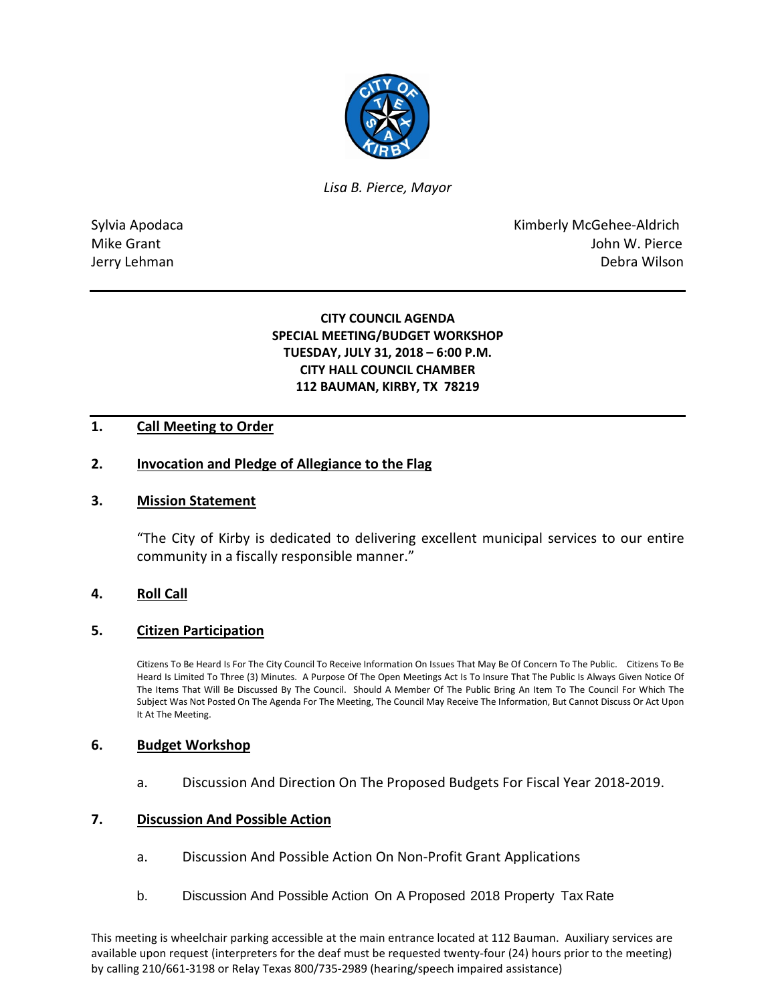

*Lisa B. Pierce, Mayor* 

Sylvia Apodaca **Kimberly McGehee-Aldrich** Mike Grant **Mike Grant** John W. Pierce Jerry Lehman Debra Wilson

# **CITY COUNCIL AGENDA SPECIAL MEETING/BUDGET WORKSHOP TUESDAY, JULY 31, 2018 – 6:00 P.M. CITY HALL COUNCIL CHAMBER 112 BAUMAN, KIRBY, TX 78219**

# **1. Call Meeting to Order**

### **2. Invocation and Pledge of Allegiance to the Flag**

### **3. Mission Statement**

"The City of Kirby is dedicated to delivering excellent municipal services to our entire community in a fiscally responsible manner."

## **4. Roll Call**

#### **5. Citizen Participation**

Citizens To Be Heard Is For The City Council To Receive Information On Issues That May Be Of Concern To The Public. Citizens To Be Heard Is Limited To Three (3) Minutes. A Purpose Of The Open Meetings Act Is To Insure That The Public Is Always Given Notice Of The Items That Will Be Discussed By The Council. Should A Member Of The Public Bring An Item To The Council For Which The Subject Was Not Posted On The Agenda For The Meeting, The Council May Receive The Information, But Cannot Discuss Or Act Upon It At The Meeting.

#### **6. Budget Workshop**

a. Discussion And Direction On The Proposed Budgets For Fiscal Year 2018-2019.

# **7. Discussion And Possible Action**

- a. Discussion And Possible Action On Non-Profit Grant Applications
- b. Discussion And Possible Action On A Proposed 2018 Property Tax Rate

This meeting is wheelchair parking accessible at the main entrance located at 112 Bauman. Auxiliary services are available upon request (interpreters for the deaf must be requested twenty-four (24) hours prior to the meeting) by calling 210/661-3198 or Relay Texas 800/735-2989 (hearing/speech impaired assistance)